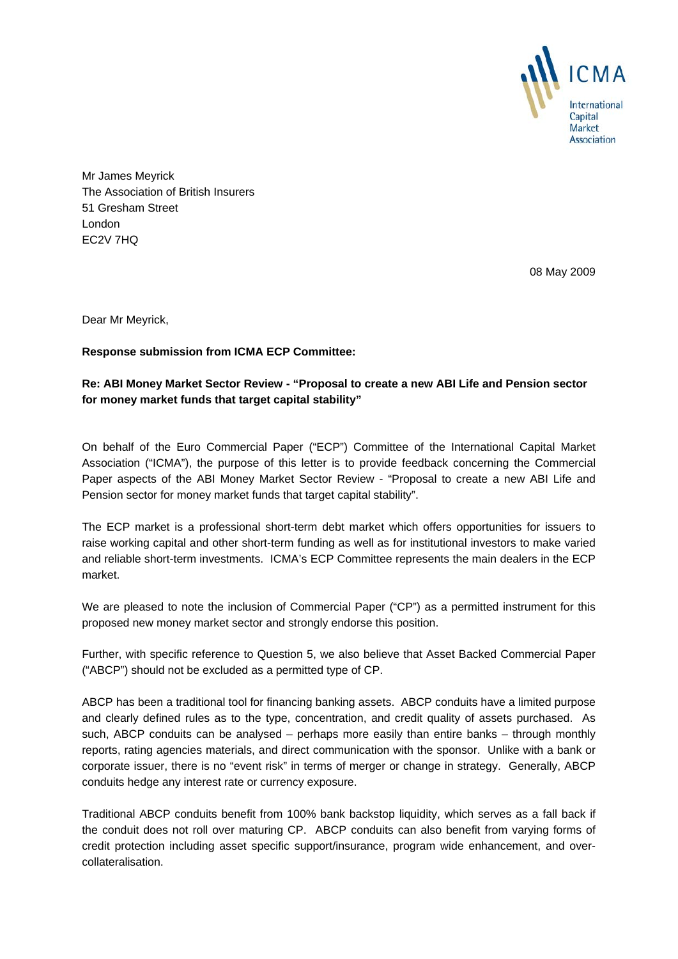

Mr James Meyrick The Association of British Insurers 51 Gresham Street London EC2V 7HQ

08 May 2009

Dear Mr Meyrick,

## **Response submission from ICMA ECP Committee:**

## **Re: ABI Money Market Sector Review - "Proposal to create a new ABI Life and Pension sector for money market funds that target capital stability"**

On behalf of the Euro Commercial Paper ("ECP") Committee of the International Capital Market Association ("ICMA"), the purpose of this letter is to provide feedback concerning the Commercial Paper aspects of the ABI Money Market Sector Review - "Proposal to create a new ABI Life and Pension sector for money market funds that target capital stability".

The ECP market is a professional short-term debt market which offers opportunities for issuers to raise working capital and other short-term funding as well as for institutional investors to make varied and reliable short-term investments. ICMA's ECP Committee represents the main dealers in the ECP market.

We are pleased to note the inclusion of Commercial Paper ("CP") as a permitted instrument for this proposed new money market sector and strongly endorse this position.

Further, with specific reference to Question 5, we also believe that Asset Backed Commercial Paper ("ABCP") should not be excluded as a permitted type of CP.

ABCP has been a traditional tool for financing banking assets. ABCP conduits have a limited purpose and clearly defined rules as to the type, concentration, and credit quality of assets purchased. As such, ABCP conduits can be analysed – perhaps more easily than entire banks – through monthly reports, rating agencies materials, and direct communication with the sponsor. Unlike with a bank or corporate issuer, there is no "event risk" in terms of merger or change in strategy. Generally, ABCP conduits hedge any interest rate or currency exposure.

Traditional ABCP conduits benefit from 100% bank backstop liquidity, which serves as a fall back if the conduit does not roll over maturing CP. ABCP conduits can also benefit from varying forms of credit protection including asset specific support/insurance, program wide enhancement, and overcollateralisation.